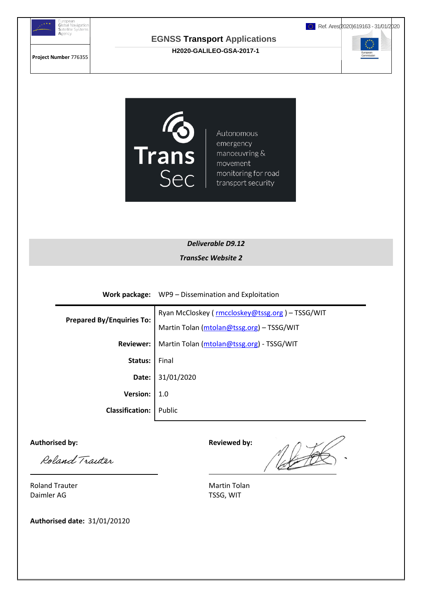

#### **EGNSS Transport Applications H2020-GALILEO-GSA-2017-1**

Ref. Ares(2020)619163 - 31/01/2020

**Project Number** 776355

 $\begin{smallmatrix} \star^{\star} & \star \\ \star & \star \\ \star & \star \end{smallmatrix}$ 



Autonomous emergency manoeuvring & movement monitoring for road transport security

*Deliverable D9.12 TransSec Website 2*

**Work package:** WP9 – Dissemination and Exploitation

|                                  | Ryan McCloskey (rmccloskey@tssg.org) - TSSG/WIT |
|----------------------------------|-------------------------------------------------|
| <b>Prepared By/Enquiries To:</b> | Martin Tolan (mtolan@tssg.org) - TSSG/WIT       |
| <b>Reviewer:</b>                 | Martin Tolan (mtolan@tssg.org) - TSSG/WIT       |
| Status:                          | Final                                           |
| Date:                            | 31/01/2020                                      |
| <b>Version:</b>                  | 1.0                                             |
| <b>Classification:</b>           | Public                                          |

Authorised by: **Authorised by: Reviewed by:** 

Roland Traiter

Net

Roland Trauter **Martin Tolan** Daimler AG TSSG, WIT

**Authorised date:** 31/01/20120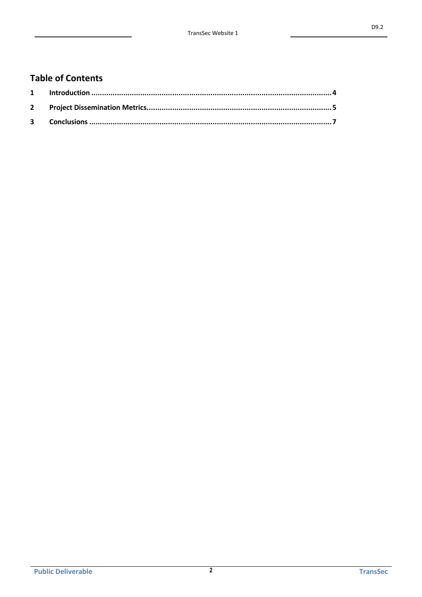# **Table of Contents**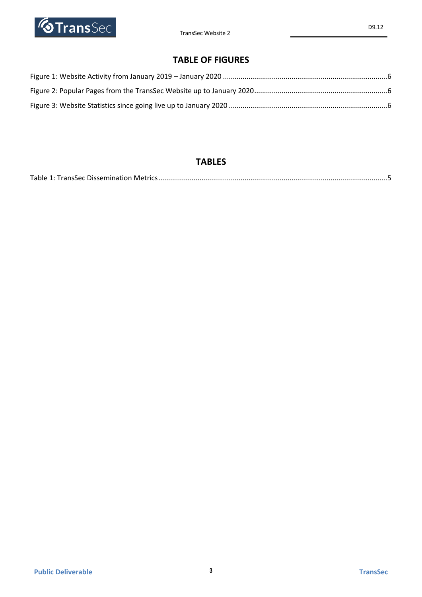

# **TABLE OF FIGURES**

## **TABLES**

|--|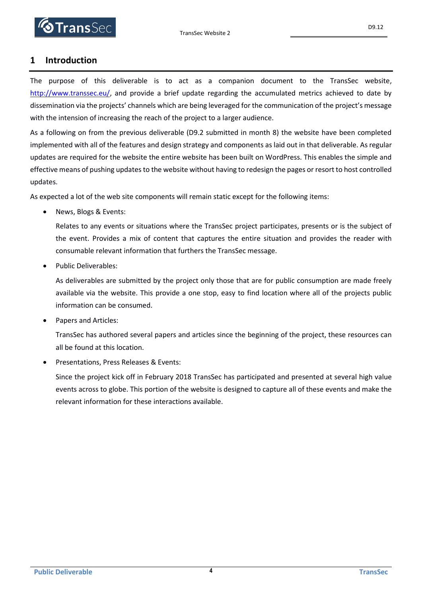#### <span id="page-3-0"></span>**1 Introduction**

The purpose of this deliverable is to act as a companion document to the TransSec website, [http://www.transsec.eu/,](http://www.transsec.eu/) and provide a brief update regarding the accumulated metrics achieved to date by dissemination via the projects' channels which are being leveraged for the communication of the project's message with the intension of increasing the reach of the project to a larger audience.

As a following on from the previous deliverable (D9.2 submitted in month 8) the website have been completed implemented with all of the features and design strategy and components as laid out in that deliverable. As regular updates are required for the website the entire website has been built on WordPress. This enables the simple and effective means of pushing updates to the website without having to redesign the pages or resort to host controlled updates.

As expected a lot of the web site components will remain static except for the following items:

• News, Blogs & Events:

Relates to any events or situations where the TransSec project participates, presents or is the subject of the event. Provides a mix of content that captures the entire situation and provides the reader with consumable relevant information that furthers the TransSec message.

Public Deliverables:

As deliverables are submitted by the project only those that are for public consumption are made freely available via the website. This provide a one stop, easy to find location where all of the projects public information can be consumed.

Papers and Articles:

TransSec has authored several papers and articles since the beginning of the project, these resources can all be found at this location.

Presentations, Press Releases & Events:

Since the project kick off in February 2018 TransSec has participated and presented at several high value events across to globe. This portion of the website is designed to capture all of these events and make the relevant information for these interactions available.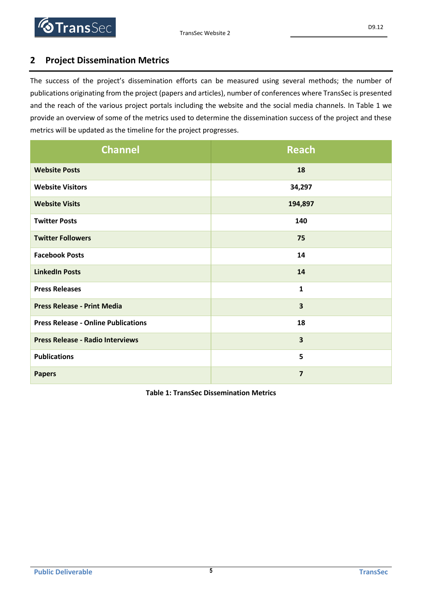### <span id="page-4-0"></span>**2 Project Dissemination Metrics**

The success of the project's dissemination efforts can be measured using several methods; the number of publications originating from the project (papers and articles), number of conferences where TransSec is presented and the reach of the various project portals including the website and the social media channels. In [Table 1](#page-4-1) we provide an overview of some of the metrics used to determine the dissemination success of the project and these metrics will be updated as the timeline for the project progresses.

| <b>Channel</b>                             | Reach                   |  |
|--------------------------------------------|-------------------------|--|
| <b>Website Posts</b>                       | 18                      |  |
| <b>Website Visitors</b>                    | 34,297                  |  |
| <b>Website Visits</b>                      | 194,897                 |  |
| <b>Twitter Posts</b>                       | 140                     |  |
| <b>Twitter Followers</b>                   | 75                      |  |
| <b>Facebook Posts</b>                      | 14                      |  |
| <b>LinkedIn Posts</b>                      | 14                      |  |
| <b>Press Releases</b>                      | $\mathbf{1}$            |  |
| <b>Press Release - Print Media</b>         | $\overline{\mathbf{3}}$ |  |
| <b>Press Release - Online Publications</b> | 18                      |  |
| <b>Press Release - Radio Interviews</b>    | $\overline{\mathbf{3}}$ |  |
| <b>Publications</b>                        | 5                       |  |
| <b>Papers</b>                              | $\overline{7}$          |  |

<span id="page-4-1"></span>**Table 1: TransSec Dissemination Metrics**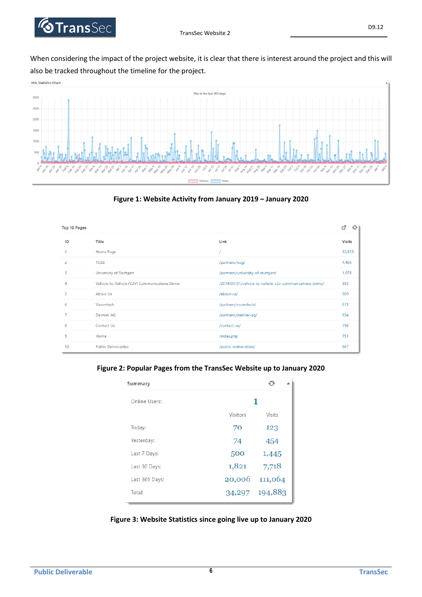

When considering the impact of the project website, it is clear that there is interest around the project and this will also be tracked throughout the timeline for the project.





<span id="page-5-0"></span>

| <b>Top 10 Pages</b>     |                                              |                                                         | 啓<br>$\mathbf{\Theta}$ |
|-------------------------|----------------------------------------------|---------------------------------------------------------|------------------------|
| ID                      | <b>Title</b>                                 | Link                                                    | <b>Visits</b>          |
|                         | Home Page                                    |                                                         | 32,853                 |
| 2                       | <b>TSSG</b>                                  | /partners/tssg/                                         | 4,486                  |
| $\overline{\mathbf{3}}$ | University of Stuttgart                      | /partners/university-of-stuttgart/                      | 1,078                  |
| $\overline{4}$          | Vehicle-to-Vehicle (V2V) Communications Demo | /2019/01/31/vehicle-to-vehicle-v2v-communications-demo/ | 993                    |
| 5                       | About Us                                     | /about-us/                                              | 909                    |
| 6                       | Vicomtech                                    | /partners/vicomtech/                                    | 871                    |
| $\overline{7}$          | Daimler AG                                   | /partners/daimler-ag/                                   | 834                    |
| 8                       | Contact Us                                   | /contact-us/                                            | 798                    |
| 9                       | Home                                         | /index.php                                              | 751                    |
| 10                      | <b>Public Deliverables</b>                   | /public-deliverables/                                   | 667                    |

<span id="page-5-1"></span>**Figure 2: Popular Pages from the TransSec Website up to January 2020**

| <b>Summary</b>       |                 |                |
|----------------------|-----------------|----------------|
| <b>Online Users:</b> | 1               |                |
|                      | <b>Visitors</b> | <b>Visits</b>  |
| Today:               | 70              | 123            |
| Yesterday:           | 74              | 454            |
| Last 7 Days:         | 500             | 1,445          |
| Last 30 Days:        | 1,821           | 7,718          |
| Last 365 Days:       | 20,006          | 111,064        |
| Total:               |                 | 34,297 194,883 |

<span id="page-5-2"></span>